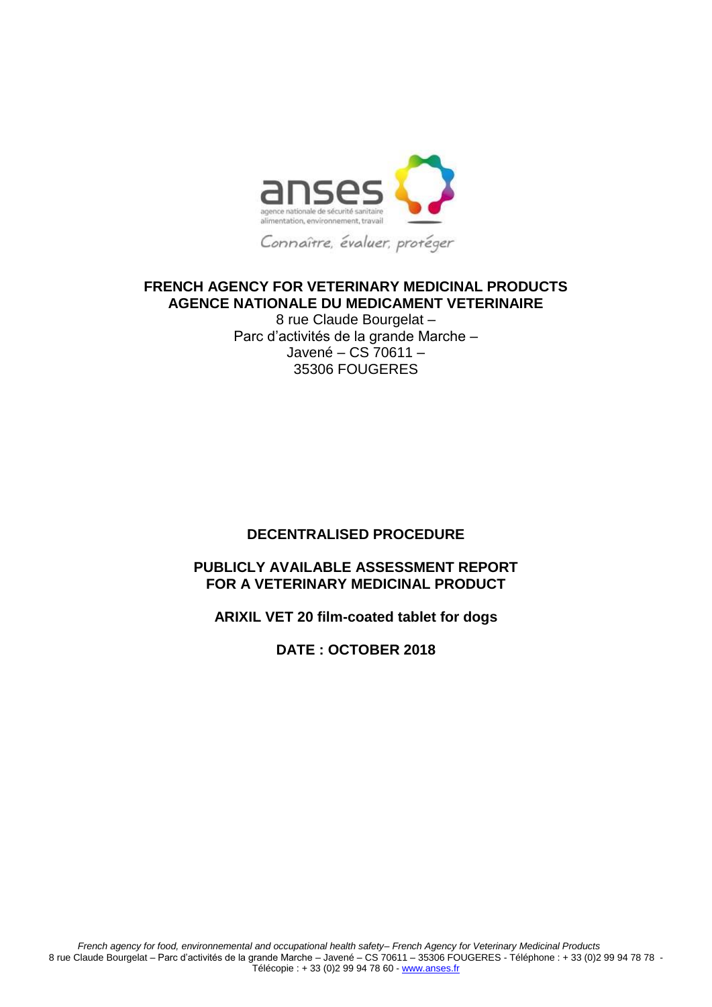

## **FRENCH AGENCY FOR VETERINARY MEDICINAL PRODUCTS AGENCE NATIONALE DU MEDICAMENT VETERINAIRE**

8 rue Claude Bourgelat – Parc d'activités de la grande Marche – Javené – CS 70611 – 35306 FOUGERES

## **DECENTRALISED PROCEDURE**

## **PUBLICLY AVAILABLE ASSESSMENT REPORT FOR A VETERINARY MEDICINAL PRODUCT**

## **ARIXIL VET 20 film-coated tablet for dogs**

## **DATE : OCTOBER 2018**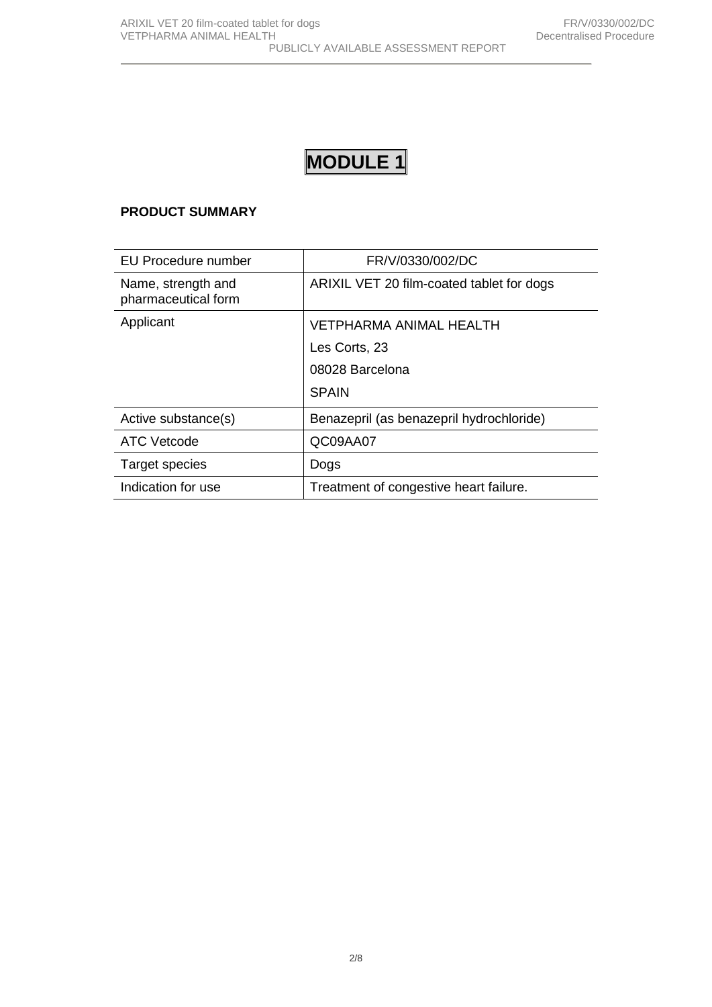# **MODULE 1**

## **PRODUCT SUMMARY**

| <b>EU Procedure number</b>                | FR/V/0330/002/DC                          |
|-------------------------------------------|-------------------------------------------|
| Name, strength and<br>pharmaceutical form | ARIXIL VET 20 film-coated tablet for dogs |
| Applicant                                 | VETPHARMA ANIMAL HEALTH                   |
|                                           | Les Corts, 23                             |
|                                           | 08028 Barcelona                           |
|                                           | <b>SPAIN</b>                              |
| Active substance(s)                       | Benazepril (as benazepril hydrochloride)  |
| <b>ATC Vetcode</b>                        | QC09AA07                                  |
| Target species                            | Dogs                                      |
| Indication for use                        | Treatment of congestive heart failure.    |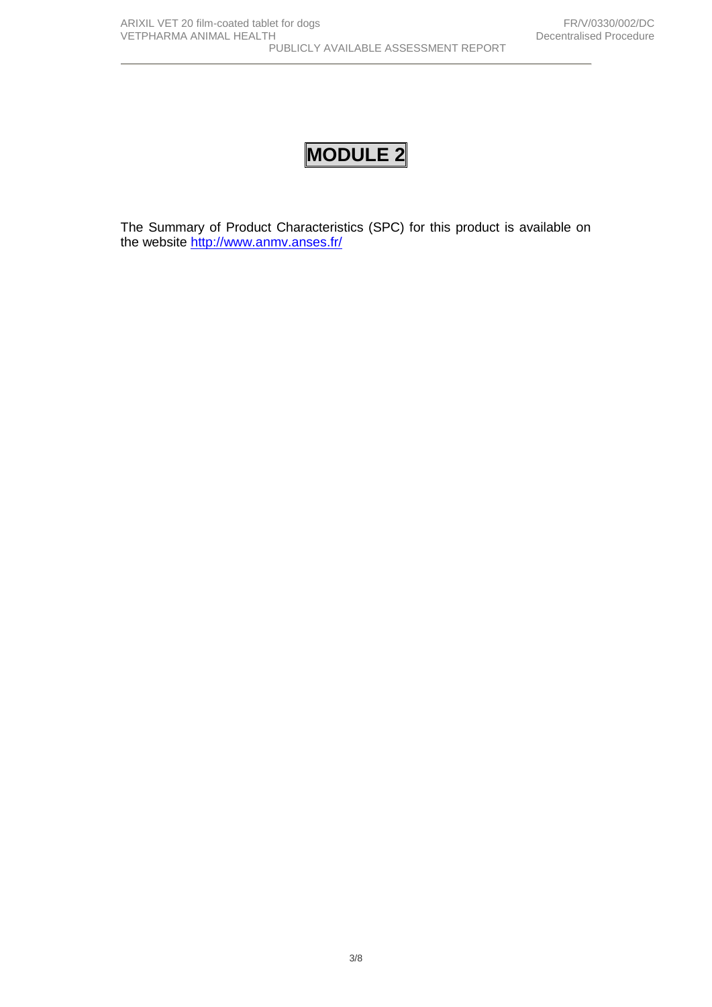# **MODULE 2**

The Summary of Product Characteristics (SPC) for this product is available on the website <http://www.anmv.anses.fr/>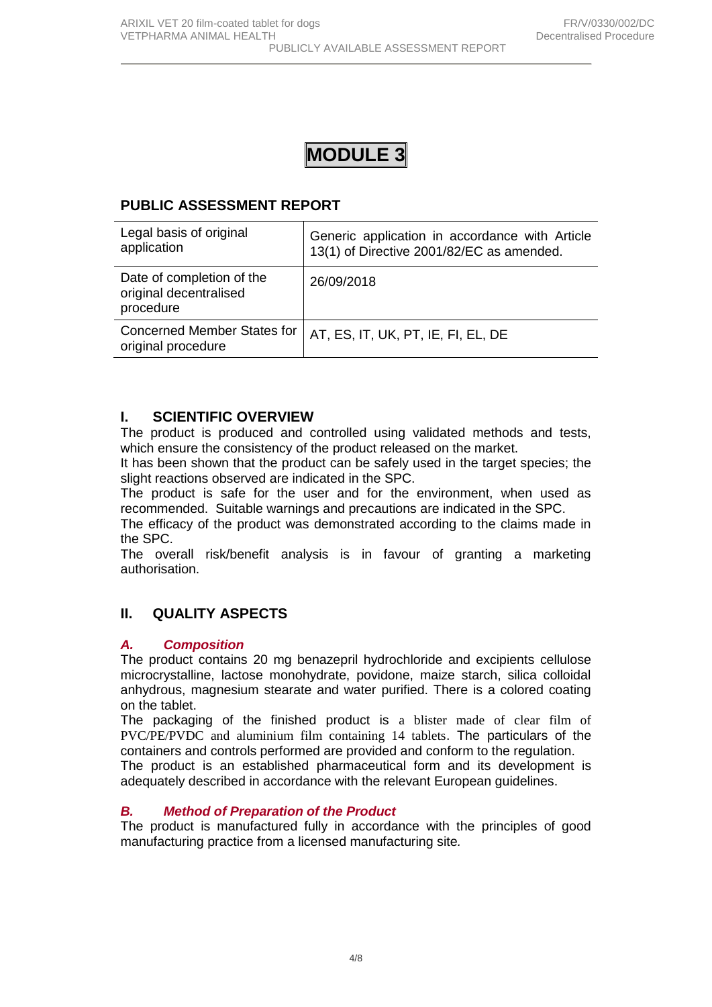

## **PUBLIC ASSESSMENT REPORT**

| Legal basis of original<br>application                           | Generic application in accordance with Article<br>13(1) of Directive 2001/82/EC as amended. |
|------------------------------------------------------------------|---------------------------------------------------------------------------------------------|
| Date of completion of the<br>original decentralised<br>procedure | 26/09/2018                                                                                  |
| <b>Concerned Member States for</b><br>original procedure         | AT, ES, IT, UK, PT, IE, FI, EL, DE                                                          |

## **I. SCIENTIFIC OVERVIEW**

The product is produced and controlled using validated methods and tests, which ensure the consistency of the product released on the market.

It has been shown that the product can be safely used in the target species; the slight reactions observed are indicated in the SPC.

The product is safe for the user and for the environment, when used as recommended. Suitable warnings and precautions are indicated in the SPC.

The efficacy of the product was demonstrated according to the claims made in the SPC.

The overall risk/benefit analysis is in favour of granting a marketing authorisation.

## **II. QUALITY ASPECTS**

### *A. Composition*

The product contains 20 mg benazepril hydrochloride and excipients cellulose microcrystalline, lactose monohydrate, povidone, maize starch, silica colloidal anhydrous, magnesium stearate and water purified. There is a colored coating on the tablet.

The packaging of the finished product is a blister made of clear film of PVC/PE/PVDC and aluminium film containing 14 tablets. The particulars of the containers and controls performed are provided and conform to the regulation.

The product is an established pharmaceutical form and its development is adequately described in accordance with the relevant European guidelines.

### *B. Method of Preparation of the Product*

The product is manufactured fully in accordance with the principles of good manufacturing practice from a licensed manufacturing site*.*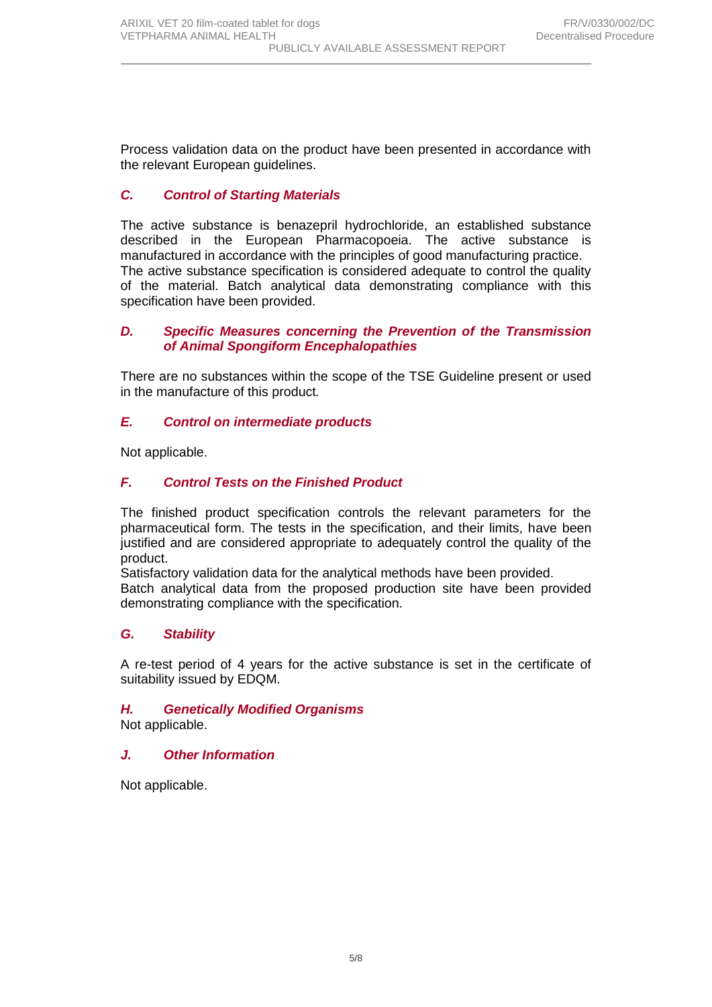Process validation data on the product have been presented in accordance with the relevant European guidelines.

## *C. Control of Starting Materials*

The active substance is benazepril hydrochloride, an established substance described in the European Pharmacopoeia. The active substance is manufactured in accordance with the principles of good manufacturing practice. The active substance specification is considered adequate to control the quality of the material. Batch analytical data demonstrating compliance with this specification have been provided.

#### *D. Specific Measures concerning the Prevention of the Transmission of Animal Spongiform Encephalopathies*

There are no substances within the scope of the TSE Guideline present or used in the manufacture of this product*.*

## *E. Control on intermediate products*

Not applicable.

### *F. Control Tests on the Finished Product*

The finished product specification controls the relevant parameters for the pharmaceutical form. The tests in the specification, and their limits, have been justified and are considered appropriate to adequately control the quality of the product.

Satisfactory validation data for the analytical methods have been provided.

Batch analytical data from the proposed production site have been provided demonstrating compliance with the specification.

## *G. Stability*

A re-test period of 4 years for the active substance is set in the certificate of suitability issued by EDQM.

## *H. Genetically Modified Organisms*

Not applicable.

### *J. Other Information*

Not applicable.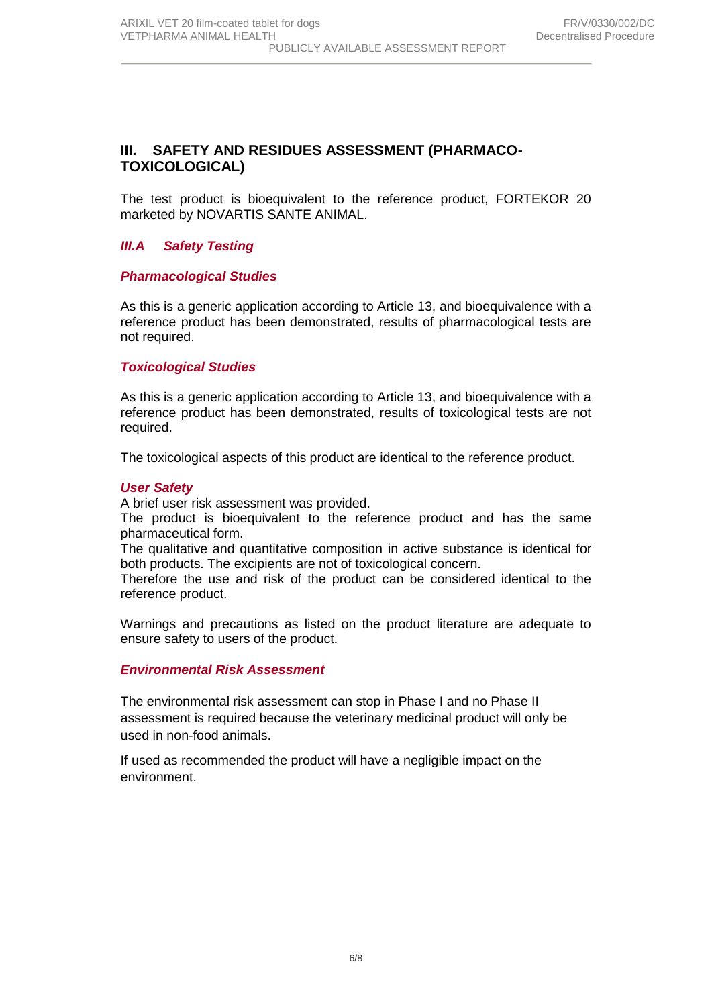## **III. SAFETY AND RESIDUES ASSESSMENT (PHARMACO-TOXICOLOGICAL)**

The test product is bioequivalent to the reference product, FORTEKOR 20 marketed by NOVARTIS SANTE ANIMAL.

## *III.A Safety Testing*

### *Pharmacological Studies*

As this is a generic application according to Article 13, and bioequivalence with a reference product has been demonstrated, results of pharmacological tests are not required.

### *Toxicological Studies*

As this is a generic application according to Article 13, and bioequivalence with a reference product has been demonstrated, results of toxicological tests are not required.

The toxicological aspects of this product are identical to the reference product.

### *User Safety*

A brief user risk assessment was provided.

The product is bioequivalent to the reference product and has the same pharmaceutical form.

The qualitative and quantitative composition in active substance is identical for both products. The excipients are not of toxicological concern.

Therefore the use and risk of the product can be considered identical to the reference product.

Warnings and precautions as listed on the product literature are adequate to ensure safety to users of the product.

### *Environmental Risk Assessment*

The environmental risk assessment can stop in Phase I and no Phase II assessment is required because the veterinary medicinal product will only be used in non-food animals.

If used as recommended the product will have a negligible impact on the environment.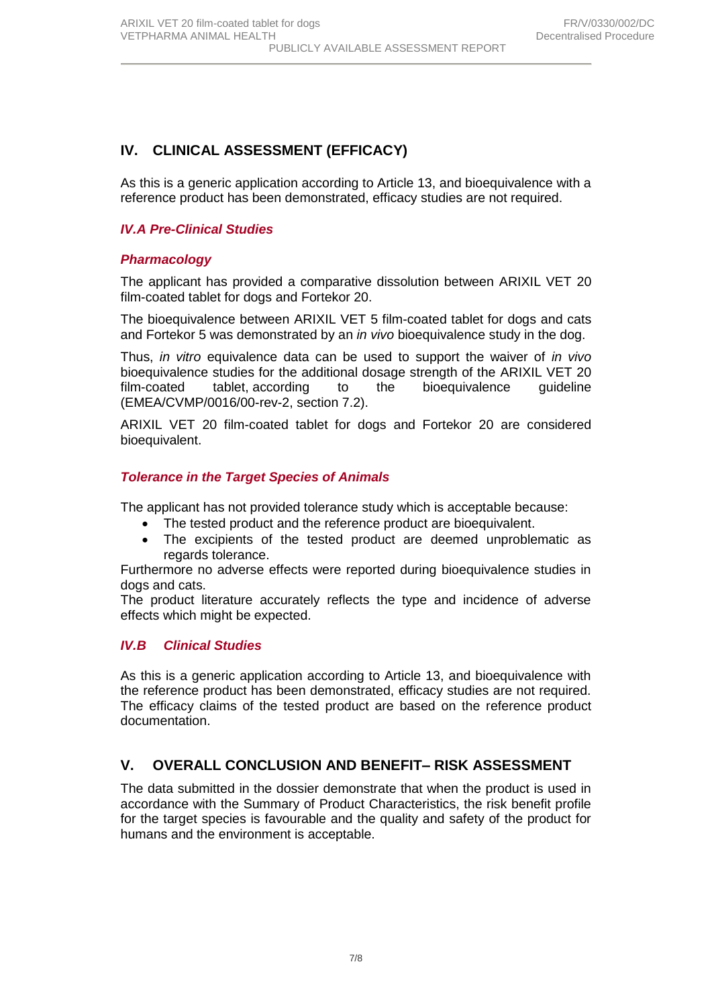## **IV. CLINICAL ASSESSMENT (EFFICACY)**

As this is a generic application according to Article 13, and bioequivalence with a reference product has been demonstrated, efficacy studies are not required.

### *IV.A Pre-Clinical Studies*

### *Pharmacology*

The applicant has provided a comparative dissolution between ARIXIL VET 20 film-coated tablet for dogs and Fortekor 20.

The bioequivalence between ARIXIL VET 5 film-coated tablet for dogs and cats and Fortekor 5 was demonstrated by an *in vivo* bioequivalence study in the dog.

Thus, *in vitro* equivalence data can be used to support the waiver of *in vivo* bioequivalence studies for the additional dosage strength of the ARIXIL VET 20 film-coated tablet, according to the bioequivalence guideline (EMEA/CVMP/0016/00-rev-2, section 7.2).

ARIXIL VET 20 film-coated tablet for dogs and Fortekor 20 are considered bioequivalent.

### *Tolerance in the Target Species of Animals*

The applicant has not provided tolerance study which is acceptable because:

- The tested product and the reference product are bioequivalent.
- The excipients of the tested product are deemed unproblematic as regards tolerance.

Furthermore no adverse effects were reported during bioequivalence studies in dogs and cats.

The product literature accurately reflects the type and incidence of adverse effects which might be expected.

### *IV.B Clinical Studies*

As this is a generic application according to Article 13, and bioequivalence with the reference product has been demonstrated, efficacy studies are not required. The efficacy claims of the tested product are based on the reference product documentation.

## **V. OVERALL CONCLUSION AND BENEFIT– RISK ASSESSMENT**

The data submitted in the dossier demonstrate that when the product is used in accordance with the Summary of Product Characteristics, the risk benefit profile for the target species is favourable and the quality and safety of the product for humans and the environment is acceptable.